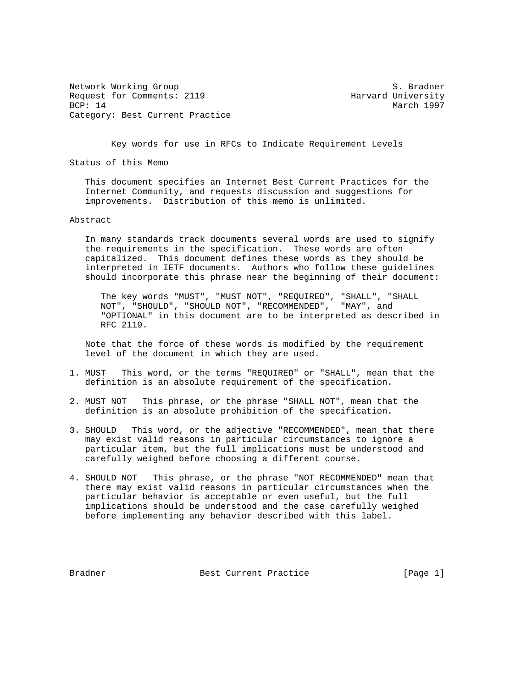Network Working Group S. Bradner Request for Comments: 2119 Harvard University BCP: 14 March 1997 Category: Best Current Practice

Key words for use in RFCs to Indicate Requirement Levels

Status of this Memo

 This document specifies an Internet Best Current Practices for the Internet Community, and requests discussion and suggestions for improvements. Distribution of this memo is unlimited.

## Abstract

 In many standards track documents several words are used to signify the requirements in the specification. These words are often capitalized. This document defines these words as they should be interpreted in IETF documents. Authors who follow these guidelines should incorporate this phrase near the beginning of their document:

 The key words "MUST", "MUST NOT", "REQUIRED", "SHALL", "SHALL NOT", "SHOULD", "SHOULD NOT", "RECOMMENDED", "MAY", and "OPTIONAL" in this document are to be interpreted as described in RFC 2119.

 Note that the force of these words is modified by the requirement level of the document in which they are used.

- 1. MUST This word, or the terms "REQUIRED" or "SHALL", mean that the definition is an absolute requirement of the specification.
- 2. MUST NOT This phrase, or the phrase "SHALL NOT", mean that the definition is an absolute prohibition of the specification.
- 3. SHOULD This word, or the adjective "RECOMMENDED", mean that there may exist valid reasons in particular circumstances to ignore a particular item, but the full implications must be understood and carefully weighed before choosing a different course.
- 4. SHOULD NOT This phrase, or the phrase "NOT RECOMMENDED" mean that there may exist valid reasons in particular circumstances when the particular behavior is acceptable or even useful, but the full implications should be understood and the case carefully weighed before implementing any behavior described with this label.

Bradner Best Current Practice [Page 1]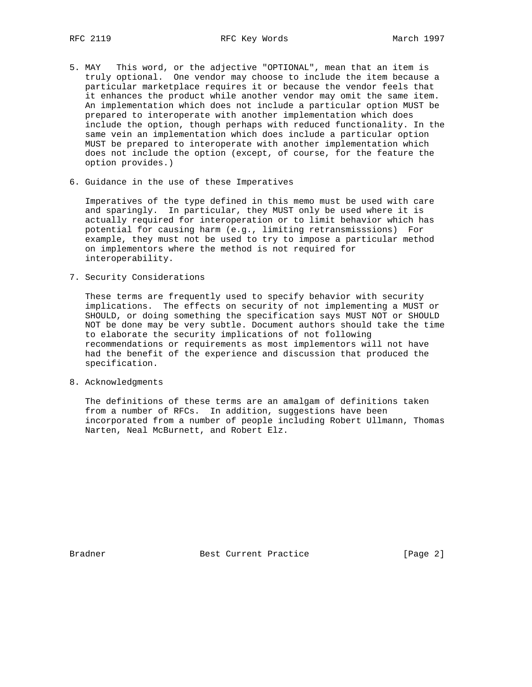- 5. MAY This word, or the adjective "OPTIONAL", mean that an item is truly optional. One vendor may choose to include the item because a particular marketplace requires it or because the vendor feels that it enhances the product while another vendor may omit the same item. An implementation which does not include a particular option MUST be prepared to interoperate with another implementation which does include the option, though perhaps with reduced functionality. In the same vein an implementation which does include a particular option MUST be prepared to interoperate with another implementation which does not include the option (except, of course, for the feature the option provides.)
- 6. Guidance in the use of these Imperatives

 Imperatives of the type defined in this memo must be used with care and sparingly. In particular, they MUST only be used where it is actually required for interoperation or to limit behavior which has potential for causing harm (e.g., limiting retransmisssions) For example, they must not be used to try to impose a particular method on implementors where the method is not required for interoperability.

7. Security Considerations

 These terms are frequently used to specify behavior with security implications. The effects on security of not implementing a MUST or SHOULD, or doing something the specification says MUST NOT or SHOULD NOT be done may be very subtle. Document authors should take the time to elaborate the security implications of not following recommendations or requirements as most implementors will not have had the benefit of the experience and discussion that produced the specification.

8. Acknowledgments

 The definitions of these terms are an amalgam of definitions taken from a number of RFCs. In addition, suggestions have been incorporated from a number of people including Robert Ullmann, Thomas Narten, Neal McBurnett, and Robert Elz.

Bradner Best Current Practice [Page 2]